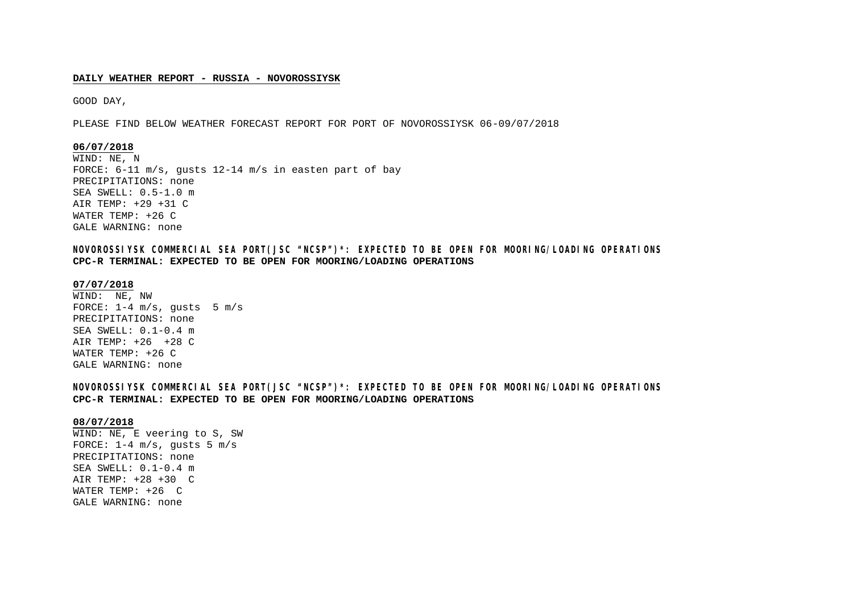## **DAILY WEATHER REPORT - RUSSIA - NOVOROSSIYSK**

GOOD DAY,

PLEASE FIND BELOW WEATHER FORECAST REPORT FOR PORT OF NOVOROSSIYSK 06-09/07/2018

## **06/07/2018**

WIND: NE, N FORCE: 6-11 m/s, gusts 12-14 m/s in easten part of bay PRECIPITATIONS: none SEA SWELL: 0.5-1.0 m AIR TEMP: +29 +31 C WATER TEMP: +26 C GALE WARNING: none

**NOVOROSSIYSK COMMERCIAL SEA PORT(JSC "NCSP")\*: EXPECTED TO BE OPEN FOR MOORING/LOADING OPERATIONS CPC-R TERMINAL: EXPECTED TO BE OPEN FOR MOORING/LOADING OPERATIONS**

## **07/07/2018**

WIND: NE, NW FORCE:  $1-4$  m/s, qusts 5 m/s PRECIPITATIONS: none SEA SWELL: 0.1-0.4 m AIR TEMP: +26 +28 C WATER TEMP: +26 C GALE WARNING: none

**NOVOROSSIYSK COMMERCIAL SEA PORT(JSC "NCSP")\*: EXPECTED TO BE OPEN FOR MOORING/LOADING OPERATIONS CPC-R TERMINAL: EXPECTED TO BE OPEN FOR MOORING/LOADING OPERATIONS**

#### **08/07/2018**

WIND: NE, E veering to S, SW FORCE:  $1-4$  m/s, qusts 5 m/s PRECIPITATIONS: none SEA SWELL: 0.1-0.4 m AIR TEMP: +28 +30 C WATER TEMP: +26 C GALE WARNING: none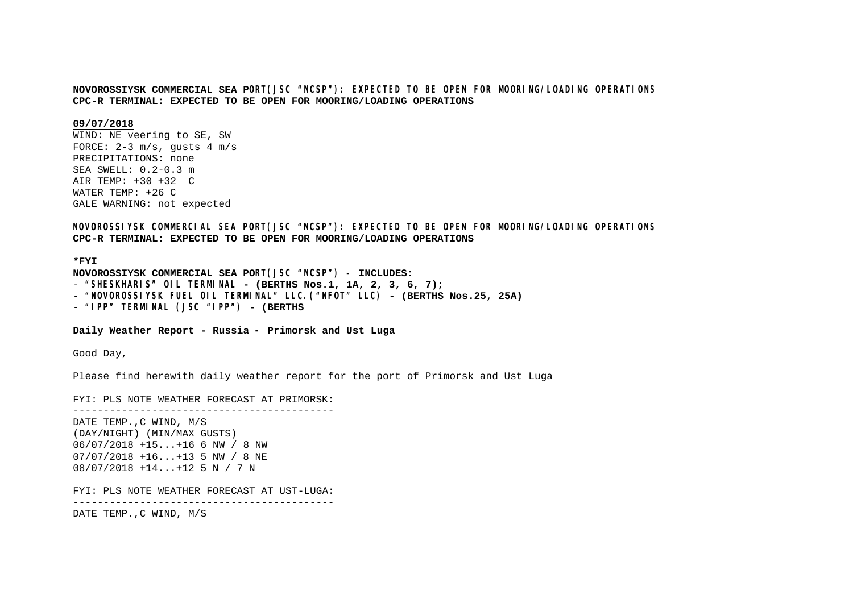## **NOVOROSSIYSK COMMERCIAL SEA PORT(JSC "NCSP"): EXPECTED TO BE OPEN FOR MOORING/LOADING OPERATIONS CPC-R TERMINAL: EXPECTED TO BE OPEN FOR MOORING/LOADING OPERATIONS**

## **09/07/2018**

WIND: NE veering to SE, SW FORCE:  $2-3$  m/s, qusts  $4$  m/s PRECIPITATIONS: none SEA SWELL: 0.2-0.3 m AIR TEMP: +30 +32 C WATER TEMP: +26 C GALE WARNING: not expected

**NOVOROSSIYSK COMMERCIAL SEA PORT(JSC "NCSP"): EXPECTED TO BE OPEN FOR MOORING/LOADING OPERATIONS CPC-R TERMINAL: EXPECTED TO BE OPEN FOR MOORING/LOADING OPERATIONS**

#### **\*FYI**

**NOVOROSSIYSK COMMERCIAL SEA PORT(JSC "NCSP") – INCLUDES:** - **"SHESKHARIS" OIL TERMINAL - (BERTHS Nos.1, 1A, 2, 3, 6, 7);** - **"NOVOROSSIYSK FUEL OIL TERMINAL" LLC.("NFOT" LLC) - (BERTHS Nos.25, 25A)** - **"IPP" TERMINAL (JSC "IPP") - (BERTHS**

## **Daily Weather Report - Russia – Primorsk and Ust Luga**

Good Day,

Please find herewith daily weather report for the port of Primorsk and Ust Luga

FYI: PLS NOTE WEATHER FORECAST AT PRIMORSK: -------------------------------------------

DATE TEMP.,C WIND, M/S (DAY/NIGHT) (MIN/MAX GUSTS) 06/07/2018 +15...+16 6 NW / 8 NW 07/07/2018 +16...+13 5 NW / 8 NE 08/07/2018 +14...+12 5 N / 7 N

FYI: PLS NOTE WEATHER FORECAST AT UST-LUGA:

-------------------------------------------

DATE TEMP.,C WIND, M/S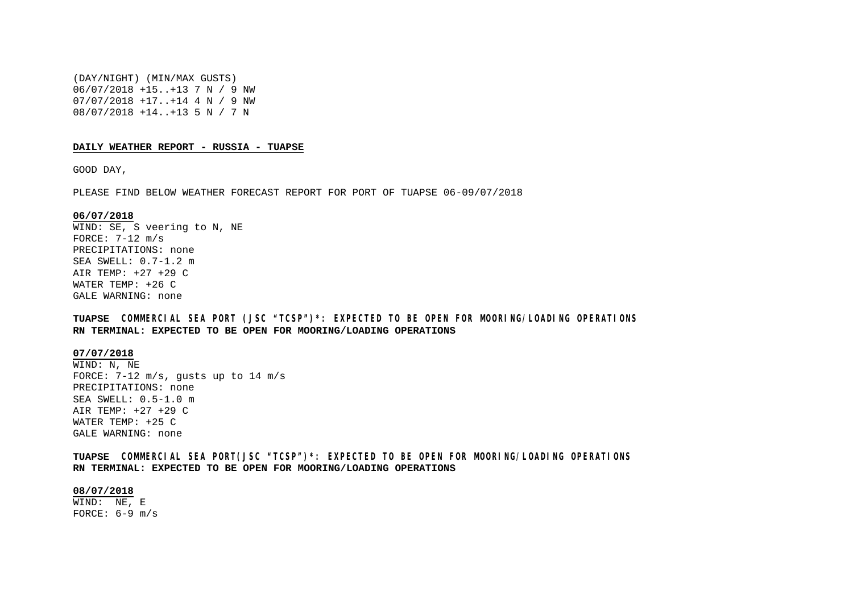(DAY/NIGHT) (MIN/MAX GUSTS) 06/07/2018 +15..+13 7 N / 9 NW 07/07/2018 +17..+14 4 N / 9 NW 08/07/2018 +14..+13 5 N / 7 N

#### **DAILY WEATHER REPORT - RUSSIA - TUAPSE**

GOOD DAY,

PLEASE FIND BELOW WEATHER FORECAST REPORT FOR PORT OF TUAPSE 06-09/07/2018

#### **06/07/2018**

WIND: SE, S veering to N, NE FORCE:  $7-12$  m/s PRECIPITATIONS: none SEA SWELL: 0.7-1.2 m AIR TEMP: +27 +29 C WATER TEMP: +26 C GALE WARNING: none

**TUAPSE COMMERCIAL SEA PORT (JSC "TCSP")\*: EXPECTED TO BE OPEN FOR MOORING/LOADING OPERATIONS RN TERMINAL: EXPECTED TO BE OPEN FOR MOORING/LOADING OPERATIONS**

#### **07/07/2018**

WIND: N, NE FORCE: 7-12 m/s, gusts up to 14 m/s PRECIPITATIONS: none SEA SWELL: 0.5-1.0 m AIR TEMP: +27 +29 C WATER TEMP: +25 C GALE WARNING: none

**TUAPSE COMMERCIAL SEA PORT(JSC "TCSP")\*: EXPECTED TO BE OPEN FOR MOORING/LOADING OPERATIONS RN TERMINAL: EXPECTED TO BE OPEN FOR MOORING/LOADING OPERATIONS**

## **08/07/2018**

WIND: NE, E FORCE:  $6-9$  m/s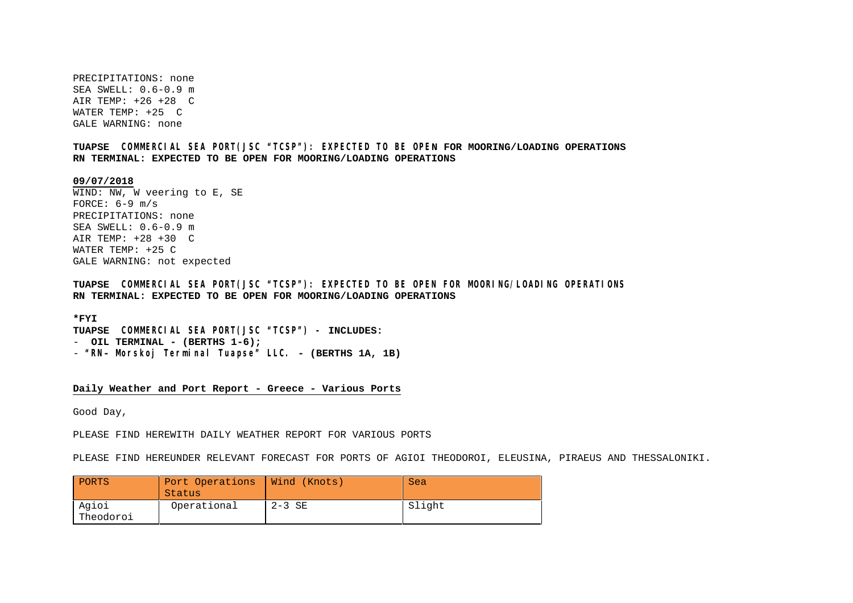PRECIPITATIONS: none SEA SWELL: 0.6-0.9 m AIR TEMP: +26 +28 C WATER TEMP: +25 C GALE WARNING: none

**TUAPSE COMMERCIAL SEA PORT(JSC "TCSP"): EXPECTED TO BE OPEN FOR MOORING/LOADING OPERATIONS RN TERMINAL: EXPECTED TO BE OPEN FOR MOORING/LOADING OPERATIONS**

**09/07/2018**

WIND: NW, W veering to E, SE FORCE:  $6-9$  m/s PRECIPITATIONS: none  $SFA$  SWELL:  $0.6-0.9$  m AIR TEMP: +28 +30 C WATER TEMP: +25 C GALE WARNING: not expected

**TUAPSE COMMERCIAL SEA PORT(JSC "TCSP"): EXPECTED TO BE OPEN FOR MOORING/LOADING OPERATIONS RN TERMINAL: EXPECTED TO BE OPEN FOR MOORING/LOADING OPERATIONS**

**\*FYI TUAPSE COMMERCIAL SEA PORT(JSC "TCSP") – INCLUDES:** - **OIL TERMINAL - (BERTHS 1-6);** - **"RN- Morskoj Terminal Tuapse" LLC. - (BERTHS 1A, 1B)**

**Daily Weather and Port Report - Greece - Various Ports**

Good Day,

PLEASE FIND HEREWITH DAILY WEATHER REPORT FOR VARIOUS PORTS

PLEASE FIND HEREUNDER RELEVANT FORECAST FOR PORTS OF AGIOI THEODOROI, ELEUSINA, PIRAEUS AND THESSALONIKI.

| PORTS              | Port Operations<br>Status | Wind (Knots) | Sea    |
|--------------------|---------------------------|--------------|--------|
| Agioi<br>Theodoroi | Operational               | $2-3$ SE     | Slight |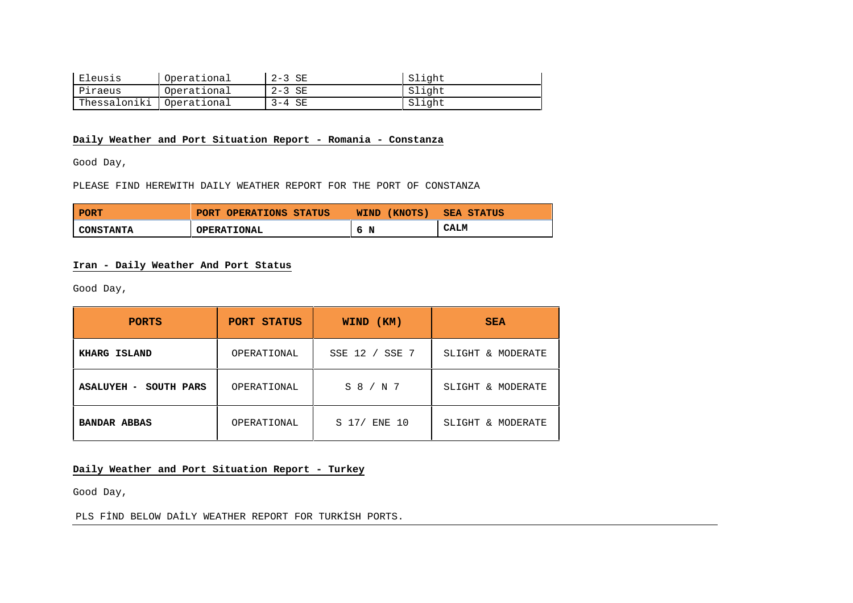| Eleusis      | Operational | $2-3$ SE | Slight |
|--------------|-------------|----------|--------|
| Piraeus      | Operational | $2-3$ SE | Slight |
| Thessaloniki | Operational | $3-4$ SE | Slight |

# **Daily Weather and Port Situation Report - Romania - Constanza**

Good Day,

## PLEASE FIND HEREWITH DAILY WEATHER REPORT FOR THE PORT OF CONSTANZA

| <b>PORT</b>      | PORT OPERATIONS STATUS | WIND (KNOTS) | <b>SEA STATUS</b> |
|------------------|------------------------|--------------|-------------------|
| <b>CONSTANTA</b> | <b>OPERATIONAL</b>     | N<br>-6      | <b>CALM</b>       |

# **Iran - Daily Weather And Port Status**

Good Day,

| <b>PORTS</b>          | PORT STATUS | (KM)<br><b>WIND</b>        | <b>SEA</b>        |
|-----------------------|-------------|----------------------------|-------------------|
| KHARG ISLAND          | OPERATIONAL | SSE 12 /<br>SSE 7          | SLIGHT & MODERATE |
| ASALUYEH - SOUTH PARS | OPERATIONAL | $S_8 / N_7$                | SLIGHT & MODERATE |
| <b>BANDAR ABBAS</b>   | OPERATIONAL | S <sub>17/</sub><br>ENE 10 | SLIGHT & MODERATE |

# **Daily Weather and Port Situation Report - Turkey**

Good Day,

PLS FİND BELOW DAİLY WEATHER REPORT FOR TURKİSH PORTS.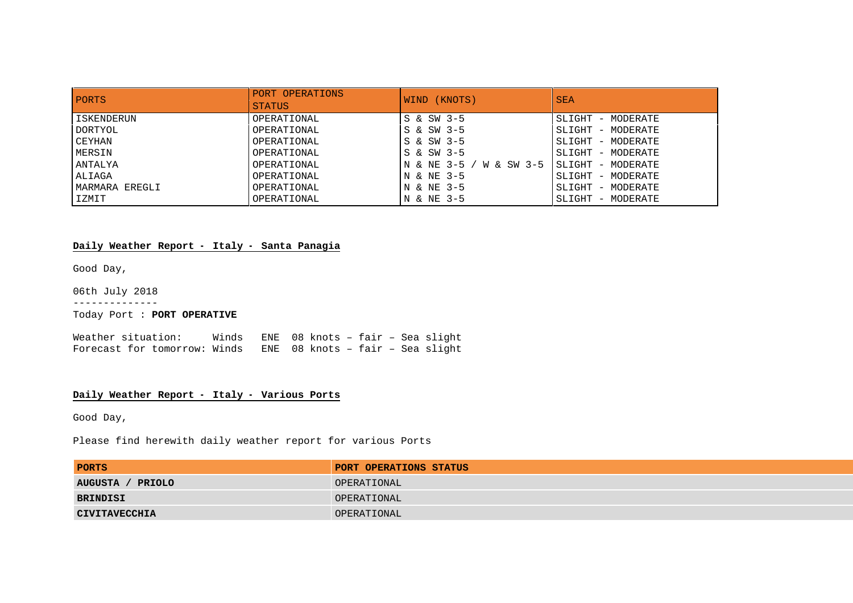| <b>PORTS</b>      | PORT OPERATIONS<br><b>STATUS</b> | WIND (KNOTS)             | <b>SEA</b>         |
|-------------------|----------------------------------|--------------------------|--------------------|
| <b>ISKENDERUN</b> | OPERATIONAL                      | S & SW 3-5               | SLIGHT - MODERATE  |
| DORTYOL           | OPERATIONAL                      | S & SW 3-5               | SLIGHT - MODERATE  |
| CEYHAN            | OPERATIONAL                      | S & SW 3-5               | SLIGHT - MODERATE  |
| MERSIN            | OPERATIONAL                      | S & SW 3-5               | SLIGHT - MODERATE  |
| ANTALYA           | OPERATIONAL                      | IN & NE 3-5 / W & SW 3-5 | ISLIGHT - MODERATE |
| ALIAGA            | OPERATIONAL                      | N & NE 3-5               | SLIGHT - MODERATE  |
| MARMARA EREGLI    | OPERATIONAL                      | N & NE 3-5               | SLIGHT - MODERATE  |
| IZMIT             | OPERATIONAL                      | N & NE 3-5               | SLIGHT - MODERATE  |

# **Daily Weather Report – Italy – Santa Panagia**

Good Day,

06th July 2018

--------------

Today Port : **PORT OPERATIVE**

Weather situation: Winds ENE 08 knots – fair – Sea slight Forecast for tomorrow: Winds ENE 08 knots – fair – Sea slight

## **Daily Weather Report – Italy – Various Ports**

Good Day,

Please find herewith daily weather report for various Ports

| <b>PORTS</b>         | PORT OPERATIONS STATUS |
|----------------------|------------------------|
| AUGUSTA / PRIOLO     | OPERATIONAL            |
| BRINDISI             | OPERATIONAL            |
| <b>CIVITAVECCHIA</b> | OPERATIONAL            |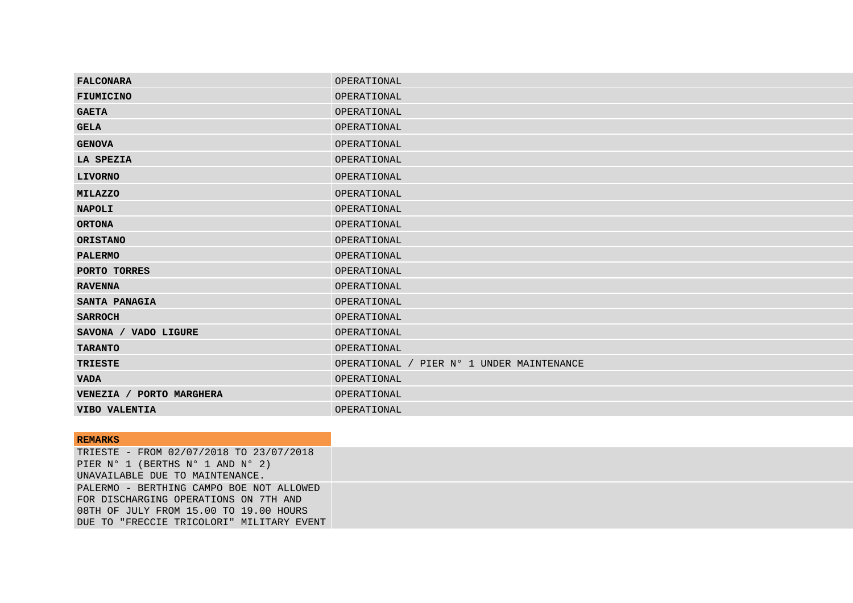| OPERATIONAL                               |
|-------------------------------------------|
| OPERATIONAL                               |
| OPERATIONAL                               |
| OPERATIONAL                               |
| OPERATIONAL                               |
| OPERATIONAL                               |
| OPERATIONAL                               |
| OPERATIONAL                               |
| OPERATIONAL                               |
| OPERATIONAL                               |
| OPERATIONAL                               |
| OPERATIONAL                               |
| OPERATIONAL                               |
| OPERATIONAL                               |
| OPERATIONAL                               |
| OPERATIONAL                               |
| OPERATIONAL                               |
| OPERATIONAL                               |
| OPERATIONAL / PIER Nº 1 UNDER MAINTENANCE |
| OPERATIONAL                               |
| OPERATIONAL                               |
| OPERATIONAL                               |
|                                           |

| <b>REMARKS</b>                            |  |
|-------------------------------------------|--|
| TRIESTE - FROM 02/07/2018 TO 23/07/2018   |  |
| PIER N° 1 (BERTHS N° 1 AND N° 2)          |  |
| UNAVAILABLE DUE TO MAINTENANCE.           |  |
| PALERMO - BERTHING CAMPO BOE NOT ALLOWED  |  |
| FOR DISCHARGING OPERATIONS ON 7TH AND     |  |
| 08TH OF JULY FROM 15.00 TO 19.00 HOURS    |  |
| DUE TO "FRECCIE TRICOLORI" MILITARY EVENT |  |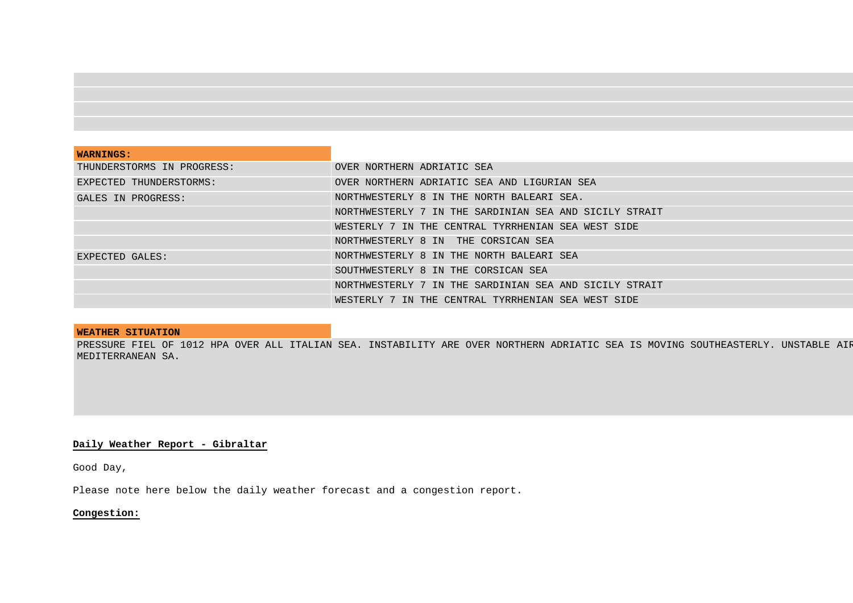| <b>WARNINGS:</b>           |                                                        |
|----------------------------|--------------------------------------------------------|
| THUNDERSTORMS IN PROGRESS: | OVER NORTHERN ADRIATIC SEA                             |
| EXPECTED THUNDERSTORMS:    | OVER NORTHERN ADRIATIC SEA AND LIGURIAN SEA            |
| GALES IN PROGRESS:         | NORTHWESTERLY 8 IN THE NORTH BALEARI SEA.              |
|                            | NORTHWESTERLY 7 IN THE SARDINIAN SEA AND SICILY STRAIT |
|                            | WESTERLY 7 IN THE CENTRAL TYRRHENIAN SEA WEST SIDE     |
|                            | NORTHWESTERLY 8 IN THE CORSICAN SEA                    |
| EXPECTED GALES:            | NORTHWESTERLY 8 IN THE NORTH BALEARI SEA               |
|                            | SOUTHWESTERLY 8 IN THE CORSICAN SEA                    |
|                            | NORTHWESTERLY 7 IN THE SARDINIAN SEA AND SICILY STRAIT |
|                            | WESTERLY 7 IN THE CENTRAL TYRRHENIAN SEA WEST SIDE     |

## **WEATHER SITUATION**

PRESSURE FIEL OF 1012 HPA OVER ALL ITALIAN SEA. INSTABILITY ARE OVER NORTHERN ADRIATIC SEA IS MOVING SOUTHEASTERLY. UNSTABLE AIP MEDITERRANEAN SA.

# **Daily Weather Report - Gibraltar**

Good Day,

Please note here below the daily weather forecast and a congestion report.

# **Congestion:**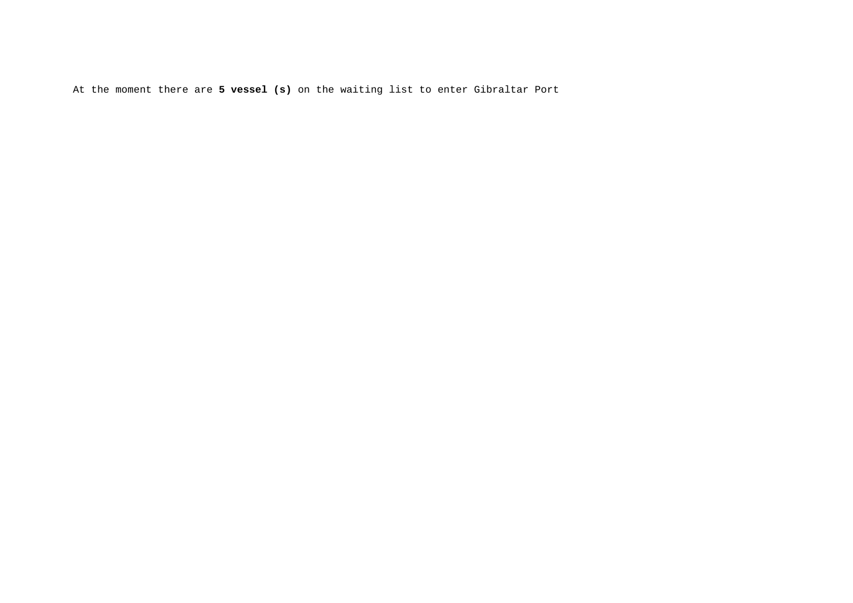At the moment there are **5 vessel (s)** on the waiting list to enter Gibraltar Port